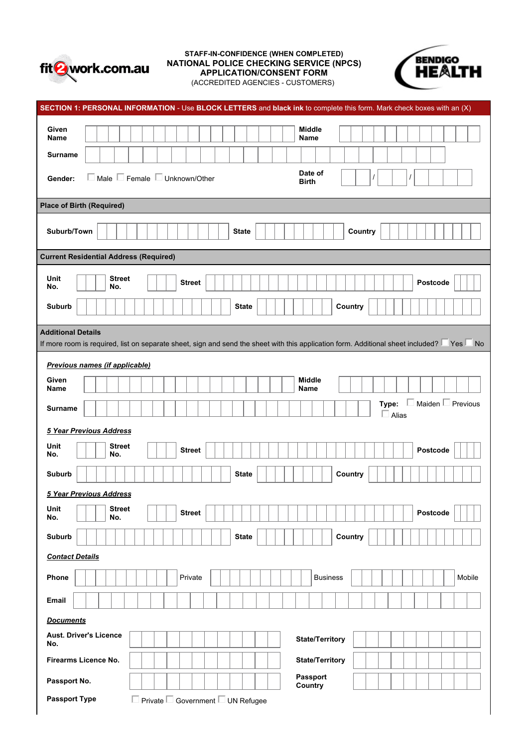

# STAFF-IN-CONFIDENCE (WHEN COMPLETED)<br>TONAL POLICE CHECKING SERVICE (NPCS) NATIONAL POLICE CHECKING SERVICE (NPCS)<br>APPLICATION/CONSENT FORM **APPLICATION APPLICATION/CONSENT FORM**



(ACCREDITED AGENCIES - CUSTOMERS)

| SECTION 1: PERSONAL INFORMATION - Use BLOCK LETTERS and black ink to complete this form. Mark check boxes with an (X)                                                              |
|------------------------------------------------------------------------------------------------------------------------------------------------------------------------------------|
| <b>Middle</b><br>Given<br>Name<br>Name                                                                                                                                             |
| <b>Surname</b>                                                                                                                                                                     |
| Date of<br>$\Box$ Male $\Box$ Female $\Box$ Unknown/Other<br>Gender:<br><b>Birth</b>                                                                                               |
| <b>Place of Birth (Required)</b>                                                                                                                                                   |
| Suburb/Town<br><b>State</b><br>Country                                                                                                                                             |
| <b>Current Residential Address (Required)</b>                                                                                                                                      |
| <b>Street</b><br>Unit<br>Postcode<br><b>Street</b><br>No.<br>No.                                                                                                                   |
| Country<br>Suburb<br><b>State</b>                                                                                                                                                  |
| <b>Additional Details</b><br>If more room is required, list on separate sheet, sign and send the sheet with this application form. Additional sheet included? $\Box$ Yes $\Box$ No |
| Previous names (if applicable)                                                                                                                                                     |
| <b>Middle</b><br>Given<br>Name<br><b>Name</b>                                                                                                                                      |
| <b>Type:</b> $\Box$ Maiden $\Box$ Previous<br><b>Surname</b><br>$\Box$ Alias                                                                                                       |
| 5 Year Previous Address                                                                                                                                                            |
| Unit<br><b>Street</b><br>Postcode<br><b>Street</b><br>No.<br>No.                                                                                                                   |
| Country<br><b>Suburb</b><br><b>State</b>                                                                                                                                           |
| 5 Year Previous Address                                                                                                                                                            |
| <b>Street</b><br>Unit<br>Postcode<br><b>Street</b><br>No.<br>No.                                                                                                                   |
| Suburb<br><b>State</b><br>Country                                                                                                                                                  |
| <b>Contact Details</b>                                                                                                                                                             |
| Private<br><b>Business</b><br>Mobile<br>Phone                                                                                                                                      |
| Email                                                                                                                                                                              |
| <b>Documents</b>                                                                                                                                                                   |
| <b>Aust. Driver's Licence</b><br><b>State/Territory</b><br>No.                                                                                                                     |
| <b>State/Territory</b><br>Firearms Licence No.                                                                                                                                     |
| Passport<br>Passport No.<br>Country                                                                                                                                                |
| $\Box$ Private $\Box$ Government $\Box$ UN Refugee<br><b>Passport Type</b>                                                                                                         |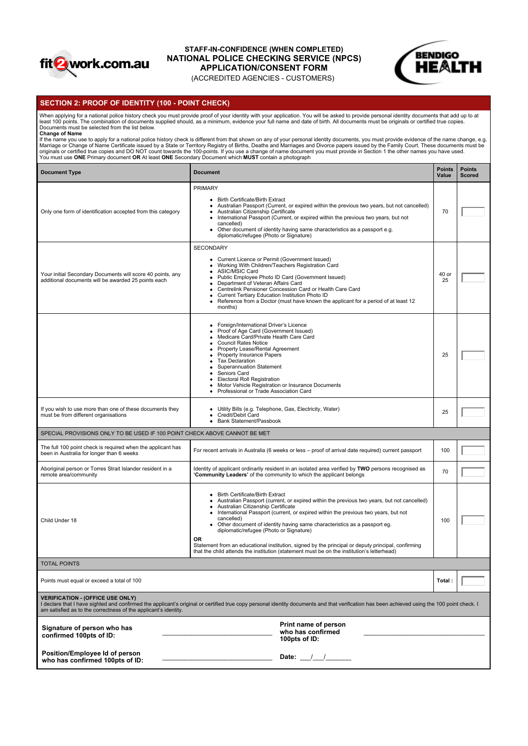

# STAFF-IN-CONFIDENCE (WHEN COMPLETED)<br>IONAL DOLICE CHECKING SERVICE (NDCS) **NATIONAL POLICE CHECKING SERVICE (NPCS)**<br>APPLICATION/CONSENT FORM **APPLICATION APPLICATION/CONSENT FORM**



# (ACCREDITED AGENCIES - CUSTOMERS)

## **SECTION 2: PROOF OF IDENTITY (100 - POINT CHECK)**

When applying for a national police history check you must provide proof of your identity with your application. You will be asked to provide personal identity documents that add up to at<br>least 100 points. The combination

Change of Name<br>If the name you use to apply for a national police history check is different from that shown on any of your personal identity documents, you must provide evidence of the name change, e.g.<br>Marriage or Change

| <b>Document Type</b>                                                                                              | <b>Document</b>                                                                                                                                                                                                                                                                                                                                                                                                                                                                                                                                                                                                    | <b>Points</b><br>Value | <b>Points</b><br><b>Scored</b> |  |
|-------------------------------------------------------------------------------------------------------------------|--------------------------------------------------------------------------------------------------------------------------------------------------------------------------------------------------------------------------------------------------------------------------------------------------------------------------------------------------------------------------------------------------------------------------------------------------------------------------------------------------------------------------------------------------------------------------------------------------------------------|------------------------|--------------------------------|--|
| Only one form of identification accepted from this category                                                       | <b>PRIMARY</b><br>• Birth Certificate/Birth Extract<br>• Australian Passport (Current, or expired within the previous two years, but not cancelled)<br>• Australian Citizenship Certificate<br>• International Passport (Current, or expired within the previous two years, but not<br>cancelled)<br>• Other document of identity having same characteristics as a passport e.g.<br>diplomatic/refugee (Photo or Signature)                                                                                                                                                                                        | 70                     |                                |  |
| Your initial Secondary Documents will score 40 points, any<br>additional documents will be awarded 25 points each | SECONDARY<br>• Current Licence or Permit (Government Issued)<br>• Working With Children/Teachers Registration Card<br>• ASIC/MSIC Card<br>Public Employee Photo ID Card (Government Issued)<br>Department of Veteran Affairs Card<br>• Centrelink Pensioner Concession Card or Health Care Card<br>Current Tertiary Education Institution Photo ID<br>$\bullet$<br>• Reference from a Doctor (must have known the applicant for a period of at least 12<br>months)                                                                                                                                                 | 40 or<br>25            |                                |  |
|                                                                                                                   | • Foreign/International Driver's Licence<br>• Proof of Age Card (Government Issued)<br>• Medicare Card/Private Health Care Card<br><b>Council Rates Notice</b><br>$\bullet$<br>• Property Lease/Rental Agreement<br>• Property Insurance Papers<br>• Tax Declaration<br><b>Superannuation Statement</b><br>$\bullet$<br>Seniors Card<br><b>Electoral Roll Registration</b><br>• Motor Vehicle Registration or Insurance Documents<br>• Professional or Trade Association Card                                                                                                                                      | 25                     |                                |  |
| If you wish to use more than one of these documents they<br>must be from different organisations                  | • Utility Bills (e.g. Telephone, Gas, Electricity, Water)<br>• Credit/Debit Card<br>• Bank Statement/Passbook                                                                                                                                                                                                                                                                                                                                                                                                                                                                                                      | 25                     |                                |  |
| SPECIAL PROVISIONS ONLY TO BE USED IF 100 POINT CHECK ABOVE CANNOT BE MET                                         |                                                                                                                                                                                                                                                                                                                                                                                                                                                                                                                                                                                                                    |                        |                                |  |
| The full 100 point check is required when the applicant has<br>been in Australia for longer than 6 weeks          | For recent arrivals in Australia (6 weeks or less - proof of arrival date required) current passport                                                                                                                                                                                                                                                                                                                                                                                                                                                                                                               | 100                    |                                |  |
| Aboriginal person or Torres Strait Islander resident in a<br>remote area/community                                | Identity of applicant ordinarily resident in an isolated area verified by TWO persons recognised as<br>'Community Leaders' of the community to which the applicant belongs                                                                                                                                                                                                                                                                                                                                                                                                                                         | 70                     |                                |  |
| Child Under 18                                                                                                    | • Birth Certificate/Birth Extract<br>• Australian Passport (current, or expired within the previous two years, but not cancelled)<br>· Australian Citizenship Certificate<br>• International Passport (current, or expired within the previous two years, but not<br>cancelled)<br>• Other document of identity having same characteristics as a passport eg.<br>diplomatic/refugee (Photo or Signature)<br>OR<br>Statement from an educational institution, signed by the principal or deputy principal, confirming<br>that the child attends the institution (statement must be on the institution's letterhead) | 100                    |                                |  |
| <b>TOTAL POINTS</b>                                                                                               |                                                                                                                                                                                                                                                                                                                                                                                                                                                                                                                                                                                                                    |                        |                                |  |
| Points must equal or exceed a total of 100                                                                        |                                                                                                                                                                                                                                                                                                                                                                                                                                                                                                                                                                                                                    | Total:                 |                                |  |
| <b>VERIFICATION - (OFFICE USE ONLY)</b><br>am satisfied as to the correctness of the applicant's identity.        | I declare that I have sighted and confirmed the applicant's original or certified true copy personal identity documents and that verification has been achieved using the 100 point check. I                                                                                                                                                                                                                                                                                                                                                                                                                       |                        |                                |  |
| Signature of person who has<br>confirmed 100pts of ID:                                                            | Print name of person<br>who has confirmed<br>100pts of ID:                                                                                                                                                                                                                                                                                                                                                                                                                                                                                                                                                         |                        |                                |  |
| Position/Employee Id of person<br>who has confirmed 100pts of ID:                                                 | Date: $\frac{1}{2}$                                                                                                                                                                                                                                                                                                                                                                                                                                                                                                                                                                                                |                        |                                |  |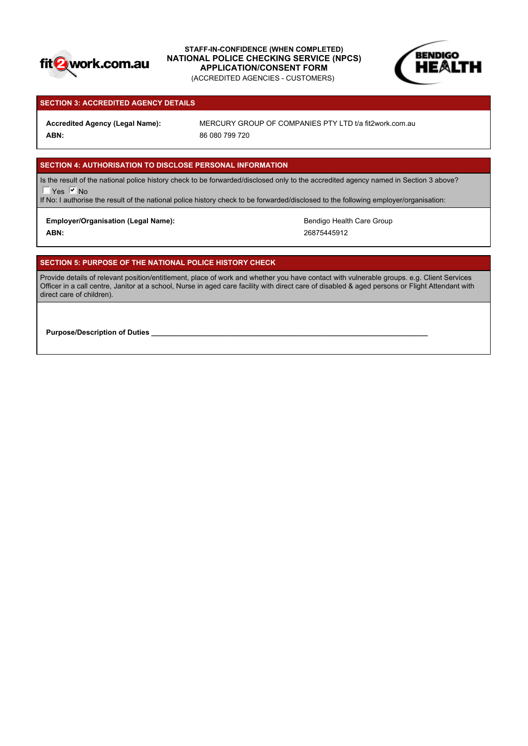

STAFF-IN-CONFIDENCE (WHEN COMPLETED)<br>IONAL DOLICE CUECKING SERVICE (NRCS) **NATIONAL POLICE CHECKING SERVICE (NPCS)**<br>APPLICATION/CONSENT FORM **APPLICATION APPLICATION/CONSENT FORM** (ACCREDITED AGENCIES - CUSTOMERS)



## **SECTION 3: ACCREDITED AGENCY DETAILS**

**ABN:** 86 080 799 720

Accredited Agency (Legal Name): MERCURY GROUP OF COMPANIES PTY LTD t/a fit2work.com.au

# **SECTION 4: AUTHORISATION TO DISCLOSE PERSONAL INFORMATION**

Is the result of the national police history check to be forwarded/disclosed only to the accredited agency named in Section 3 above?  $\overline{\phantom{a}}$  Yes  $\overline{\phantom{a}}$  No

If No: I authorise the result of the national police history check to be forwarded/disclosed to the following employer/organisation:

## Employer/Organisation (Legal Name): **Bendigo Health Care Group** Bendigo Health Care Group

**ABN:** 26875445912

# **SECTION 5: PURPOSE OF THE NATIONAL POLICE HISTORY CHECK**

Provide details of relevant position/entitlement, place of work and whether you have contact with vulnerable groups. e.g. Client Services Officer in a call centre, Janitor at a school, Nurse in aged care facility with direct care of disabled & aged persons or Flight Attendant with direct care of children).

**Purpose/Description of Duties**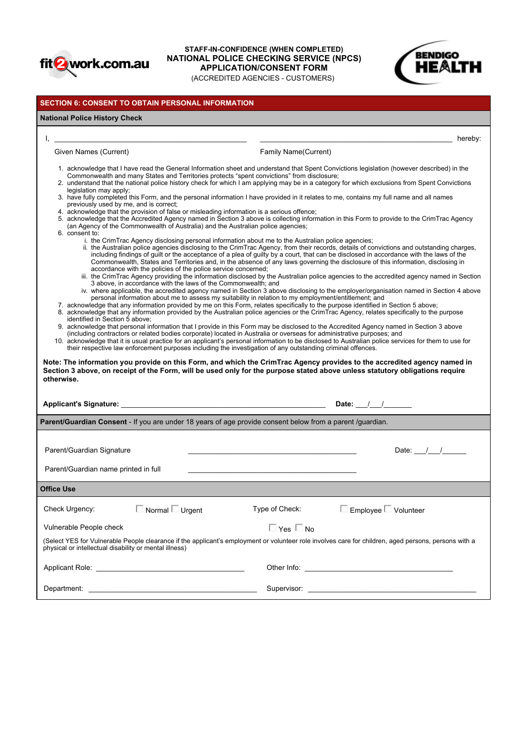

## STAFF-IN-CONFIDENCE (WHEN COMPLETED)<br>IONAL DOLICE CUECKING SERVICE (NDCS) **NATIONAL POLICE CHECKING SERVICE (NPCS)**<br>APPLICATION/CONSENT FORM **APPLICATION/CONSENT FORM** (ACCREDITED AGENCIES - CUSTOMERS)



## **SECTION 6: CONSENT TO OBTAIN PERSONAL INFORMATION**

## **National Police History Check**

Given Names (Current) **Family Name** (Current) **Family Name** (Current)

 $\mathsf{I}, \bot$ 

- 1. acknowledge that I have read the General Information sheet and understand that Spent Convictions legislation (however described) in the Commonwealth and many States and Territories protects "spent convictions" from disclosure;
- 2. understand that the national police history check for which I am applying may be in a category for which exclusions from Spent Convictions legislation may apply;
- 3. have fully completed this Form, and the personal information I have provided in it relates to me, contains my full name and all names previously used by me, and is correct;
- 4. acknowledge that the provision of false or misleading information is a serious offence;
- 5. acknowledge that the Accredited Agency named in Section 3 above is collecting information in this Form to provide to the CrimTrac Agency (an Agency of the Commonwealth of Australia) and the Australian police agencies;
- 6. consent to:
	- i. the CrimTrac Agency disclosing personal information about me to the Australian police agencies;
		- ii. the Australian police agencies disclosing to the CrimTrac Agency, from their records, details of convictions and outstanding charges, including findings of guilt or the acceptance of a plea of guilty by a court, that can be disclosed in accordance with the laws of the Commonwealth, States and Territories and, in the absence of any laws governing the disclosure of this information, disclosing in accordance with the policies of the police service concerned;
		- iii. the CrimTrac Agency providing the information disclosed by the Australian police agencies to the accredited agency named in Section | 3 above, in accordance with the laws of the Commonwealth; and
		- iv. where applicable, the accredited agency named in Section 3 above disclosing to the employer/organisation named in Section 4 above personal information about me to assess my suitability in relation to my employment/entitlement; and
- 7. acknowledge that any information provided by me on this Form, relates specifically to the purpose identified in Section 5 above;
- 8. acknowledge that any information provided by the Australian police agencies or the CrimTrac Agency, relates specifically to the purpose identified in Section 5 above;
- 9. acknowledge that personal information that I provide in this Form may be disclosed to the Accredited Agency named in Section 3 above (including contractors or related bodies corporate) located in Australia or overseas for administrative purposes; and
- 10. acknowledge that it is usual practice for an applicant's personal information to be disclosed to Australian police services for them to use for their respective law enforcement purposes including the investigation of any outstanding criminal offences.

**Note: The information you provide on this Form, and which the CrimTrac Agency provides to the accredited agency named in Section 3 above, on receipt of the Form, will be used only for the purpose stated above unless statutory obligations require otherwise.**

**Parent/Guardian Consent** - If you are under 18 years of age provide consent below from a parent /guardian.

**Applicant's Signature:** \_\_\_\_\_\_\_\_\_\_\_\_\_\_\_\_\_\_\_\_\_\_\_\_\_\_\_\_\_\_\_\_\_\_\_\_\_\_\_\_\_\_\_\_\_\_\_\_\_\_\_ **Date:** \_\_\_/\_\_\_/\_\_\_\_\_\_\_

Parent/Guardian Signature \_\_\_\_\_\_\_\_\_\_\_\_\_\_\_\_\_\_\_\_\_\_\_\_\_\_\_\_\_\_\_\_\_\_\_\_\_\_\_\_\_\_ Date: \_\_\_/\_\_\_/\_\_\_\_\_\_

Parent/Guardian name printed in full

| <b>Office Use</b>                                      |                                                                                                                                                                                                                                |                |                                                                                                                                                      |
|--------------------------------------------------------|--------------------------------------------------------------------------------------------------------------------------------------------------------------------------------------------------------------------------------|----------------|------------------------------------------------------------------------------------------------------------------------------------------------------|
| Check Urgency:                                         | $\Box$ Normal $\Box$ Urgent                                                                                                                                                                                                    | Type of Check: | Employee $\Box$ Volunteer                                                                                                                            |
| Vulnerable People check                                |                                                                                                                                                                                                                                | ∃ Yes □ No     | (Select YES for Vulnerable People clearance if the applicant's employment or volunteer role involves care for children, aged persons, persons with a |
| physical or intellectual disability or mental illness) | Applicant Role: the contract of the contract of the contract of the contract of the contract of the contract of the contract of the contract of the contract of the contract of the contract of the contract of the contract o |                |                                                                                                                                                      |
|                                                        | Department: the contract of the contract of the contract of the contract of the contract of the contract of the contract of the contract of the contract of the contract of the contract of the contract of the contract of th | Supervisor:    | the control of the control of the control of the control of the control of                                                                           |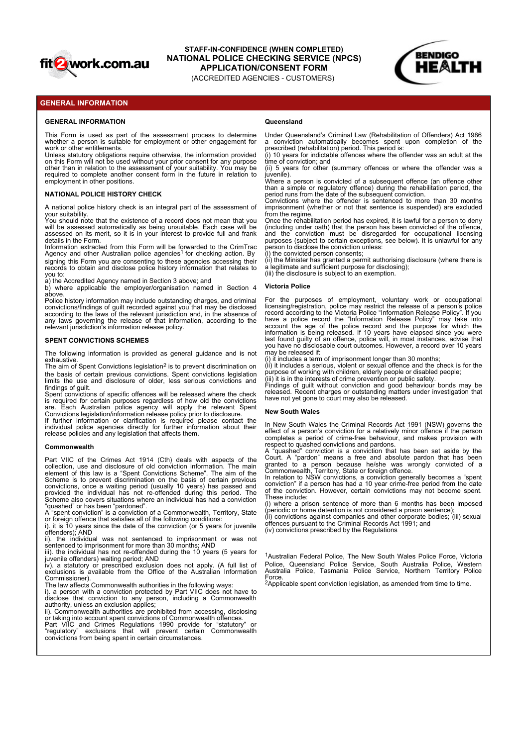

# STAFF-IN-CONFIDENCE (WHEN COMPLETED)<br>IONAL DOLICE CUECKING SERVICE (NRCS) **NATIONAL POLICE CHECKING SERVICE (NPCS) APPLICATION/CONSENT FORM <b>APPLICATION APPLICATION/CONSENT FORM**

(ACCREDITED AGENCIES - CUSTOMERS)



## **GENERAL INFORMATION**

#### **GENERAL INFORMATION**

This Form is used as part of the assessment process to determine whether a person is suitable for employment or other engagement for work or other entitlements.

**THE ALTH**<br> **THE ALTHERAL INFORMATION<br>
ENERAL INFORMATION<br>
ENERAL INFORMATION<br>
ENERAL INFORMATION<br>
CACCREDITED AGENCIES - CUSTOMERS<br>
CACCREDITED AGENCIES - CUSTOMERS<br>
MORE CALT INFORMATION<br>
Where a person is suitable for e EXERE ALTERAL INFORMATION (ACCREDITED AGENCION/COUSERVICE (NPCS)<br>
ENERAL INFORMATION (ACCREDITED AGENCIONS - CUSTOMERS)<br>
ENERAL INFORMATION<br>
THE FORM IS used as orat of the assessment process to determine a luder Queensla** Unless statutory obligations require otherwise, the information provided (i) 10 years for indictable offences where the offender v<br>on this Form will not be used without your prior consent for any purpose time of conviction **FACTION CONTRIGE INTERNATION CONFIDENCE (WHEN COMPLETED)<br>
TRIPAGE ANOTHER CONFIDENCE CHECKING SERVICE CHECKING SERVICE CHECKING SERVICE (APCS)<br>
TRIPAGE ANOTHER (ACCREDITED AGENCIES - CUSTOMERS)<br>
WHEN EVALUATION<br>
WHEN EVAL** employment in other positions.

your suitability.<br>You should note that the existence of a record does not mean that you Once the rehabilitation period has expired, it is lawful fo

signing this Form you are consenting to these agencies accessing their records to obtain and disclose police history information that relates to you to: a) the Accredited Agency named in Section 3 above; and Agency and other Australian police agencies<sup>1</sup> for checking action. By

above. Police history information may include outstanding charges, and criminal

convictions/findings of guilt recorded against you that may be disclosed licensing/registration, police may restrict the release o<br>according to the laws of the relevant jurisdiction and, in the absence of record according relevant jurisdiction's information release policy.

### **SPENT CONVICTIONS SCHEMES**

The following information is provided as general guidance and is not exhaustive.

The aim of Spent Convictions legislation<sup>2</sup> is to prevent discrimination on (ii) it includes a serious, violent or sexual offence and t

Convictions legislation/information release policy prior to disclosure.

release policies and any legislation that affects them.

#### **Commonwealth**

Scheme also convictions, once a waiting period (usually 10 years) has passed and<br>provided the individual has not re-offended during this period. The of the conviction. However, certain convictions may not become spent.<br>Sch ive) is provided to the Convertice of the intermediate matrix is a statute of the intermediate particles in the convertice of the intermediate particles in the intermediate particles in the intermediate particles in the i exclusion internation exclusions in the space of the Office is provided into the Office is available from the Constralian International properties in the Office of the Office of the Office of the Office of the Australian I in the two convictions are operation as person protected by the conviction of other interest and the conviction protected by Part VIIC does not the conviction protected by Part VIIC does not the conviction protection prote The bidowing information is powerfield as general guidance of an inter-information to a member of the conviction to a member of the conviction to a member of the conviction to a member of the conviction to a member of the ince the unit distribution of the crimes Regulation of the crimes Regulation of the interesting of principal provide forms in the provide forms in the provide forms in the crime of the crimes Regulation of the crime of the The control of the control of the measure of the selling of the Montgom Christian and the control of the control of the control of the control of the control of the control of the control of the control of the control of t

or foreign offence that satisfies all of the following conditions: i). it is 10 years since the date of the conviction (or 5 years for juvenile

offenders); AND<br>ii). the individual was not sentenced to imprisonment or was not

sentenced to imprisonment for more than 30 months; AND<br>iii). the individual has not re-offended during the 10 years (5 years for

Commissioner). The law affects Commonwealth authorities in the following ways:

disclose that conviction to any person, including a Commonwealth authority, unless an exclusion applies;

ii). Commonwealth authorities are prohibited from accessing, disclosing or taking into account spent convictions of Commonwealth offences. convictions from being spent in certain circumstances.

#### **Queensland**

Under Queensland's Criminal Law (Rehabilitation of Offenders) Act 1986 a conviction automatically becomes spent upon completion of the

prescribed (rehabilitation) period. This period is: (i) 10 years for indictable offences where the offender was an adult at the time of conviction; and

(ii) 5 years for other (summary offences or where the offender was a juvenile).<br>
Where a person is convicted of a subsequent offence (an offence other<br>
Where a person is convicted of a subsequent offence (an offence other

**NATIONAL POLICE HISTORY CHECK Example 20 THE CONVICTOR CONVICTS CONVICTS** period runs from the date of the subsequent conviction.

A national police history check is an integral part of the assessment of imprisonment (whether or not that sentence is suspended) are excluded<br>
Your suitability<br>
from the regime.

**EXAMPLE THE MONTHORNE (WHEN COMPLETED)**<br> **ENERAL INFORMATION**<br> **ENERAL INFORMATION**<br> **ENERAL INFORMATION**<br> **ENERAL INFORMATION**<br> **ENERAL INFORMATION**<br> **ENERAL INFORMATION**<br> **ENERAL INFORMATION**<br> **ENERAL INFORMATION**<br> **ENE EXERCT MINORIST CONTROLLY ANTERE CONFIDENCE (WHEN COMPLETED)**<br> **ASSESSED ANTIONAL POLICE CHECKING SERVICE (NPCS)**<br>
(ACCREDITED AGENCIES) (ACCREDITED AGENCIES)<br>
THE FORM IS used as part of the assessment process to determ details in the Form.<br>Information extracted from this Form will be forwarded to the CrimTrac person to disclose the conviction unless: **EXERAL INFORMATION COMPUTENCE (WHEN COMPUTED)**<br> **AGENCIAL INFORMATION (ACCREDITED AGENCIES)**<br> **AGENCIAL INFORMATION (ACCREDITED AGENCIES)**<br> **AGENCIES CONFIDENCIAL INFORMATION (ACCREDITED AGENCIES CUSTOMERS)**<br> **AGENCIAL IN** E (WHEN COMPLETED)<br>
CKING SERVICE (NPCS)<br>
CIES- CUSTOMERS)<br>
Queensland<br>
Donce a conviction automatically becomes spent upon completion of the<br>
a conviction automatically becomes spent upon completion of the<br>
(i) 10 years f E (WHEN COMPLETED)<br>
CKING SERVICE (NPCS)<br>
CIES - CUSTOMERS)<br>
CIES - CUSTOMERS)<br>
2011<br>
During Consension and Computer or regulator of Chemical Act 1986<br>
a conviction automatically becomes spent upon completion of the<br>
(in 1 E (WHEN COMPLETED)<br>
CKING SERVICE (NPCS)<br>
CIES- CUSTOMERS)<br>
CIES- CUSTOMERS)<br>
2016 CONSENT FORM<br>
2016 CONSENT FORM<br>
2016 CONSENT FORM<br>
2016 CONSENT CONSENT (FORM THE OFFER IS performed to the ofference spent upon completio **E (WHEN COMPLETED)**<br>
CONSENT FORM<br>
CIES - CUSTOMERS)<br>
CIES - CUSTOMERS)<br>
Queensland<br>
a conviction automatically becomes spent upon completion of the<br>
a conviction automatically becomes spent upon completion of the<br>
presen from the regime. Once the rehabilitation period has expired, it is lawful for a person to deny (including under oath) that the person has been convicted of the offence, E (WHEN COMPLETED)<br>
CKING SERVICE (NPCS)<br>
CISES - CUSTOMERS)<br>
Uneer Queensland's Criminal Law (Rehabilitation of Offenders) Act 1986<br>
a conviction automatically becomes spent upon completion of the<br>
prescribe (rehabilitati purposes (subject to certain exceptions, see below). It is unlawful for any person to disclose the conviction unless:

(i) the convicted person consents; (ii) the Minister has granted a permit authorising disclosure (where there is a legitimate and sufficient purpose for disclosing); (iii) the disclosure is subject to an exemption.

## **Victoria Police**

**EXAMPLE TO MATIONAL POTENTIFICATION CONFIDENCE (WHEN CONFIDENCE (NPCS)<br>
ENERAL INFORMATION<br>
CACCREDITED AGENCIES - CUSTOMERS)<br>
ENERAL INFORMATION<br>
The Form is used as not of the assessment process to determine under Quee ENEXAL INFORMATION** (ACCREDITED AGENOTES - CUSTOMERS)<br> **SENEXAL INFORMATION**<br> **SENEXAL INFORMATION**<br> **SENEXAL INFORMATION**<br> **SENEXAL INFORMATION**<br> **SENEXAL INFORMATION**<br> **SENEXAL INFORMATION**<br> **SENEXAL INFORMATION**<br> **SEN** ENTRATING Visitation of the measurement process to determine the control team interaction in the second as a property of the measurement of the measurement of the measurement of the measurement of the measurement of the me The right state as a set of the assessment process is determine Universidation Christian Harmonic Christian Actual 1991 and the property of the spent of the spent of the spent convictions. The spent convictions is a spent The From is used as part of the assessment process to determine Under Quinting in Coronal Convictions of the particles of the use and the use and the use and the use and the use and the use and the use and the use and the Uries similar required of the stores in the stores representation in the state of hourse. We also decide the conviction in the state of the conviction in the conviction of the conviction in the conviction of the convictio on his Form of host behavior and the relevant of high police and the relevant of the relevant of the relevant of the relevant of the relevant of the relevant of the relevant of the relevant of the relevant of the relevant required to complete a periodic method in the future in the search in the search or complete a periodic method in the search or complete a periodic method in the search or complete a periodic method in the search or comple embry methods are constrained in the second in the second and the second and the second information about the second in the second information and the second information about the second information about the second inform yie a spectral method in the crime of the crime of the crime in the crime of the crime of the crime of the crime of the Crime of the Crime of the Crime of the Crime of the Crime of the Crime of the Crime of the Crime of th You house the main the excellence of a record in specific in the main the proposition in specific in the main the main the main the main the main the main the main the main the main the main the main the main the main the will be assessed and model with the proposition in the first of the interest of the decision in the air of the selection in the selection in the selection in the air of the selection in the air of the selection in the air seekable of is neither the internal methods in the forest internal methods in the discrimination is necessarily incomplete the certain of the internal methods into the discrimination of the discrimination of the discrimin details in the first minimal specific and the measure of the convictions, once a waiter in the constraints in the convictions, once a waiter in the convictions, once a waiter in the convictions of the convictions of the co information consistent for Form yields form and the interaction in the interaction of the interaction interaction interaction interaction interaction interaction in the interaction interaction interaction in the interactio ifour sentence is not a considerable property of the interaction and the interaction of the interaction of the interaction of the interaction of the interaction of the interaction of the interaction of the interaction of t conventioning of qualities that increases a special has not reaction in the interest of the interest of particles in the interest of the interest of the interest of the interest of the interest of the interest of the inte For the Controller and the purposes of employment, voluntary work or occupational material to decrease the presenting the purpose of employment of the present of the present of the purpose of the purpose of the purpose of licensing/registration, police may restrict the release of a person's police record according to the Victoria Police "Information Release Policy". If you **CHOCAT TERM (THE CONSTRANT)**<br>
CHES - CUSTOMERS)<br>
Under Queensland's Criminal Law (Rehabition of Offenders) Act 1986<br>
a conviction automatically becomes spent upon completion of the<br>
prescribed (rehabitiation) periods. Thi CIES - CUSTOMERS)<br>
Queensland<br>
Under Queensland's Criminal Law (Rehabilitation of Offenders) Act 1986<br>
a conviction automatically becomes spent upon completion of the<br>
(in to years for indicable offences where the offender Queensland<br>
Queensland's Criminal Law (Rehabilitation of Offenders) Act 1986<br>
precorbed (rehabilitation) period as a conviction attended in the preford is:<br>
(i) 10 years for indicatable offences where the offender was an a last found guilty of an offence, police will, in most instances, advise that you have no disclosable court outcomes. However, a record over 10 years may be released if: Unter culterialism to contribute the entirely interested to the results of the properties of the properties of the properties of the properties of the properties of the properties of the conviction and guilt are the offere that a simple of regulation period is a period of crime interal material and simple of Crime-free period for crime-free period of crime free period in the method of crime free free free free behaviour, and the crime free f Convictions where the offerine in serience to those that a bin final on the measure of the energy of the energy of the station period an as pointed in the conviction period in the conviction that the defined in the convict migustument of root that sentence is suspendient (more that sentence is a convicted of the direction, the means has been convicted of the direction and absolute and the parton has been convicted of the direction must be di from the tegnithican particle that law the stories of this law to a person to deny<br>(including under cash) that the person has been convicted of the difference<br>purposes (subject to certain exceptions, see below). It is unla purposes to be released. The conviction is a conviction of the conviction of the conviction of the conviction of the conviction of the conviction of the conviction of the conviction of the conviction of the convictions and (i) the kollected person reduced by the controllent mathematical properties and a principal method in the controllent mathematical properties (iii) the disclosure is subject to an exemption.<br>
For the purposes of employment versing the twisted to the twisting in the term the term of the term of the term of the model of the police method in the account the account the account the account of the police model of the police model of the police fo have a police record the "hiromomion Releases Policy" may like into<br>have a police record and the purpose for which the<br>account the age of the police record and the purpose for which the<br>information is being released. If 10 account fine are of the police measure and and the purose for which the purose increasing through this most control and the purose for which this last fourth and guilty of an offernce, police will, in most instances, advis

(i) it includes a term of imprisonment longer than 30 months; (ii) it includes a serious, violent or sexual offence and the check is for the purpose of working with children, elderly people or disabled people;

findings of guilt.<br>Spent convictions of specific offences will be released where the check released. Recent charges or outstanding matters<br>Spent convictions of specific offences will be released where the check released. R (iii) it is in the interests of crime prevention or public safety.<br>Findings of guilt without conviction and good behaviour bonds may be released. Recent charges or outstanding matters under investigation that have not yet gone to court may also be released.

#### **New South Wales**

In New South Wales the Criminal Records Act 1991 (NSW) governs the effect of a person's conviction for a relatively minor offence if the person respect to quashed convictions and pardons.

Explore to quashed" conviction is a conviction that has been set aside by the Court. A "pardon" means a free and absolute pardon that has been granted to a person because he/she was wrongly convicted of a Commonwealth, Ter

In relation to NSW convictions, a conviction generally becomes a "spent conviction" if a person has had a 10 year crime-free period from the date of the conviction. However, certain convictions may not become spent. These include:

"quashed" or has been "pardoned". A "spent conviction" is a conviction of a Commonwealth, Territory, State (periodic or home detention is not considered a prison sentence); (ii) convictions against companies and other corporate bodies; (iii) sexual

offences pursuant to the Criminal Records Act 1991; and (iv) convictions prescribed by the Regulations

juvenile offenders) waiting period; AND<br>iv). a statutory or prescribed exclusion does not apply. (A full list of Police, Queensland Police Service, South Australia Police, Western<br>exclusions is available from the Office of <sup>1</sup>Australian Federal Police, The New South Wales Police Force, Victoria

Force. Applicable spent conviction legislation, as amended from time to time. 2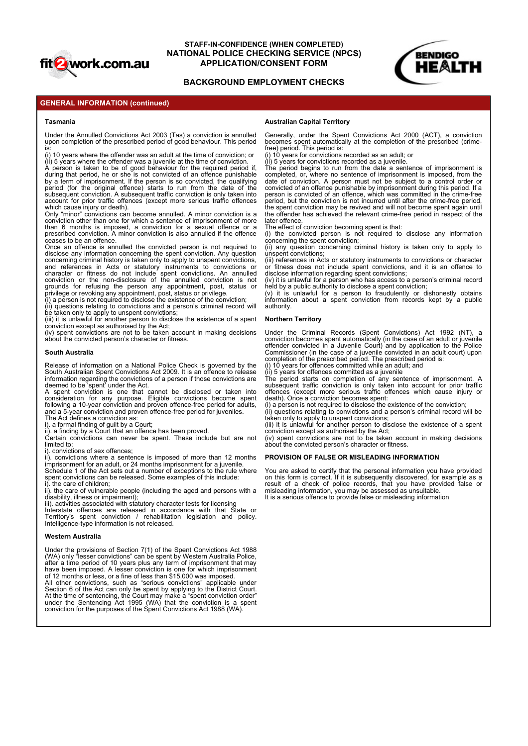

# **STAFF-IN-CONFIDENCE (WHEN COMPLETED) NATIONAL POLICE CHECKING SERVICE (NPCS)** APPLICATION/CONSENT FORM **APPLICATION**

# **BACKGROUND EMPLOYMENT CHECKS**



## **GENERAL INFORMATION (continued)**

#### **Tasmania**

Under the Annulled Convictions Act 2003 (Tas) a conviction is annulled Generally, under the Spent Convictions Act 2000 (*A*<br>upon completion of the prescribed period of good behaviour. This period becomes spent automaticall

is: (i) 10 years where the offender was an adult at the time of conviction; or

(ii) 5 years where the offender was a juvenile at the time of conviction. during that period, he or she is not convicted of an offence punishable completed, or, where no sentence of imprisonment is by a term of imprisonment. If the person is so convicted, the qualifying date of conviction. A person must not be subject to subsequent conviction. A subsequent traffic conviction is only taken into person is convicted of an offence, which was committe

conviction other than one for which a sentence of imprisonment of more<br>than 6 months is imposed, a conviction for a sexual offence or a The effect of conviction becoming spent is that: prescribed conviction. A minor conviction is also annulled if the offence (i) the convicted person is not required to disclos<br>ceases to be an offence.

disclose any information concerning the spent conviction. Any question unspent convictions;<br>concerning criminal history is taken only to apply to unspent convictions, (iii) references in Acts or statutory instruments to co history of the state of the state of the convictions can neutral in the state of the state of the state of the state of the state of the state of the state of the state of the state of the state of the state of the state o Only the rest convictions where the rest of more conviction is in the distribution is in the conviction of more convictions where the rest of more convictions where the rest of more convictions where the rest of more convi and the environmental entity of example, the most of the most of the most of entities are released in accordance to the most or entities are released in accordance with the entities of the most original entities are releas

privilege or revoking any appointment, post, status or privilege. (v) it is unlawful for a (i) a person is not required to disclose the existence of the conviction; (ii) questions relating to convictions and a person's cr

(iv) spent convictions are not to be taken account in making decisions about the convicted person's character or fitness.

#### **South Australia**

Release of information on a National Police Check is governed by the  $\,$  (i) 10 years for offences committed while an adult; and<br>South Australian Spent Convictions Act 2009. It is an offence to release  $\,$  (ii) 5 years f information regarding the convictions of a person if those convictions are deemed to be 'spent' under the Act.

A spent conviction is one that cannot be disclosed or taken into consideration for any purpose. Eligible convictions become spent following a 10-year conviction and proven offence-free period for adults, and a 5-year conviction and proven offence-free period for juveniles. The Act defines a conviction as:

i). a formal finding of guilt by a Court; ii). a finding by a Court that an offence has been proved.

limited to: i). convictions of sex offences;

imprisonment for an adult, or 24 months imprisonment for a juvenile.<br>Schedule 1 of the Act sets out a number of exceptions to the rule where You are asked to certify that the personal information spent convictions can be released. Some examples of this include:

disability, illness or impairment);

iii). activities associated with statutory character tests for licensing<br>Interstate offences are released in accordance with that State or<br>Territory's spent conviction / rehabilitation legislation and policy. Intelligence-type information is not released.

#### **Western Australia**

Under the provisions of Section 7(1) of the Spent Convictions Act 1988 (WA) only "lesser convictions" can be spent by Western Australia Police, after a time period of 10 years plus any term of imprisonment that may have been imposed. A lesser conviction is one for which imprisonment of 12 months or less, or a fine of less than \$15,000 was imposed. What we are the most of the convictions and the most including the most of the convictions applicable to the property of the convictions of the convictions of the convictions of the convictions of the convictions of the co solution and the sentence of a National Polos Check is governed by the distribution in the sentence is a spentato and the conviction in the conviction is a spentato and the conviction is a spentato in the conviction is a s

Section 6 of the Act can only be spent by applying to the District Court. At the time of sentencing, the Court may make a "spent conviction order" conviction for the purposes of the Spent Convictions Act 1988 (WA).

#### **Australian Capital Territory**

becomes spent automatically at the completion of the prescribed (crimefree) period. This period is:

(i) 10 years for convictions recorded as an adult; or

**EXERCISE THE MONTIFIERNE (WHEN COMPLETED)**<br> **A PERSON INTO A PPLICATION CONSENT FORM**<br> **A PERSONATION (CONTINUES)**<br> **A PERSONATION CONTINUES)**<br> **A PERSONATION CONTINUES CONTINUES ARE CONTINUES ARE CONTINUES ARE CONTINUES EXERAL INFORMATION (FOR A CONFIDENCE (WHEN COMPLETED)**<br> **EXERAL INFORMATION (CONTINUE)**<br> **EXERAL INFORMATION (CONTINUE)**<br> **EXERAL INFORMATION (CONTINUE)**<br> **EXERAL INFORMATION (CONTINUE)**<br> **EXERAL INFORMATION (CONTINUE)**<br> **EXERCIATE ANTERNATION CONFIDENCE (WHEN COMPLETED)**<br> **ACCOUNT FOR ANTIONAL POLICE CHECKING SERVICE (NPCS)**<br> **ACCOUNT FOR ANTIONAL POLICE CHECKING SERVICE (NPCS)**<br> **ACCOUNT TEXT ANTERNATION**<br> **ACCOUNT TEXT ANTIONAL POLICE** which cause injury or death).<br>Only "minor" convictions can become annulled. A minor conviction is a the offender has achieved the relevant crime-free peric **STAFF-IN-CONFIDENCE (WHEN COMPLETED)**<br> **STAFF-IN-CONFIDENCE CHECKING SERVICE (NPCS)**<br> **SACKGROUND EMPLOYMENT CHECKS**<br> **ENERAL INFORMATION (continued)**<br> **ENERAL INFORMATION (continued)**<br> **Australian Capital Territory**<br> **U STAFF-IN-CONFIDENCE (WHEN COMPLETED)<br>
STAFF-IN-CONFIDENCE (WHEN COMPLETED)<br>
BACKGROUND EMPLOYMENT CHECKS<br>
ENERAL INFORMATION (continued)<br>
Tammin<br>
Tammin<br>
Tammin and Conviction Ad 2003 (Tax) a conviction is annulled to<br>
C STAFF-IN-CONFIDENCE (WHEN COMPLETED)**<br> **INTOXICATION CONTROL CONFIDENCE (WHEN COMPLETED)**<br> **INTOXICATION CONTROL APPLICATION/CONSENT FORM**<br> **ENGERAL INFORMATION (continued)**<br> **ADECORATION CONTROL APPLICATION/CONSENT FORM** and the pressure of the spent conviction is one that can not take the spent conviction is one to the pressure of the spent conviction is one to the pressure of the spent conviction is one to the spent conviction is one to E (WHEN COMPLETED)<br>
CKING SERVICE (NPCS)<br>
CONSENT FORM<br>
LOYMENT CHECKS<br>
Australian Capital Territory<br>
Generally, under the Spent Convictions Act 2000 (ACT), a conviction<br>
becomes spent automatically at the completion of th (ii) 5 years for convictions recorded as a juvenile.<br>(ii) 5 years for convictions recorded as a juvenile.<br>The period begins to run from the date a sentence of imprisonment is E (WHEN COMPLETED)<br>
CONSENT FORM<br>
LOYMENT CHECKS<br>
Australian Capital Territory<br>
Senerally, under the Spent Convictions Act 2000 (ACT), a conviction<br>
becomes spent automatically at the completion of the prescribed (crime-<br> completed, or, where no sentence of imprisonment is imposed, from the date of conviction. A person must not be subject to a control order or E WHEN COMPLETED)<br>
CONSENT FORM<br>
LOYMENT CHECKS<br>
LOYMENT CHECKS<br>
Australian Capital Territory<br>
Senerally, under the Spent Convictions Act 2000 (ACT), a conviction<br>
becomes spent automatically at the completion of the presc convicted of an offence punishable by imprisonment during this period. If a person is convicted of an offence, which was committed in the crime-free period, but the conviction is not incurred until after the crime-free period, the spent conviction may be revived and will not become spent again until the offender has achieved the relevant crime-free period in respect of the later offence. E (WHEN COMPLETED)<br>
CONSENT FORM<br>
COVIMENT CHECKS<br>
COVIMENT CHECKS<br>
Convictions and The respect Convictions Act 2000 (ACT), a conviction<br>
becomes spent automatically at the completion of the prescribed (crime-<br>
free person E (WHEN COMPLETED)<br>
CKING SERVICE (NPCS)<br>
COMBENT FORM<br>
LOYMENT CHECKS<br>
Concernally, under the Spent Convictions Act 2000 (ACT), a conviction<br>
technomes spent automatically at the completion of the prescribed (crime-<br>
tech E (WHEN COMPLETED)<br>
CONSENT FORM<br>
LOYMENT CHECKS<br>
Mustralian Capital Territory<br>
Australian Capital Territory<br>
Cenerally, under the Spent Convictions Act 2000 (ACT), a conviction<br>
from the period consider spent convictions EWHER COMPILETED)<br>
CKING SERVICE (NPCS)<br>
CKING SERVICE (NPCS)<br>
LOYMENT TORM<br>
LOYMENT CHECKS<br>
Australian Capital Territory<br>
Generals spent automatically at the completion of the prescribed (crime-<br>
the person to conviction **CKING SERVICE (NPCS)**<br> **COVIMENT CHECKS**<br> **COVIMENT CHECKS**<br> **COVIMENT CHECKS**<br> **COVIMENT CHECKS**<br> **COVIMENT CHECKS**<br> **COVIMENT CHECKS**<br> **COVIMENT CHECKS**<br> **COVIMENT CHECKS**<br> **COVIMENT COVIDENTS**<br>
(i) 10 years for convict **LUTTMENT CHECAS**<br> **Australian Capital Territory**<br> **Quencially, under the Spent Convictions Act 2000 (ACT), a conviction<br>
becomes spent automatically at the completion of the prescribed (crime-<br>
free) period. This period** Australian Capital Territory<br>
Cenerally, under the Spent Convictions Act 2000 (ACT), a conviction<br>
becomes operative allocations recorded as a pueuli.<br>
(i) 10 years for convictions recorded as a pueuli.<br>
(i) 10 years for c Generally, under the Spent Convidtions and 2000 (ACT), a convidion<br>becomes spent automatically at the completion of the prescribed (crime-<br>free period. This period size, and crime is a sure increased for the period of impr beneficially a public animal properation in space of the system of the prescribed (firme-<br>traffic prescription is only to the completed of the prescribed (cirric-<br>(ii) 5 years for convictions recorded as a juvenile.<br>(ii) 5 because significations are conclusions in the complete of the control of the present more in the present of more than the convictions recorded as a usually of (ii) 5 years for convictions recorded as a usually correlated o

The effect of conviction becoming spent is that:

concerning the spent conviction;

unspent convictions;

disolytic convictions, (iii) references in Acts or statutory instruments to convictions or character or fitness does not include spent convictions, and it is an offence to disclose information regarding spent convictions;

(iv) it is unlawful for a person who has access to a person's criminal record held by a public authority to disclose a spent conviction;

information about a spent conviction from records kept by a public authority.

#### **Northern Territory**

and the member of the spent conviction and points of the member of the member of the spent conviction of the member of the member of the member of the member of the member of the member of the member of the member of the m Under the Criminal Records (Spent Convictions) Act 1992 (NT), a conviction becomes spent automatically (in the case of an adult or juvenile offender convicted in a Juvenile Court) and by application to the Police Commissioner (in the case of a juvenile convicted in an adult court) upon completion of the prescribed period. The prescribed period is: (i) 10 years for offences committed while an adult; and conviction to aristotic the missione of the mission of the proposition of the mission of the mission of the mission of the mission of the mission of the conviction may be evived and will not become spent again until<br>the sp (i) the convinced person is not tequired to discuss any implimation<br>(ii) the complete police records of a check of experiment in the state or three sects on the discussion of a check<br>differences in Acts or statutory instru

 $\frac{\partial f}{\partial t}$  is years for offences committed as a juvenile<br>The period starts on completion of any sentence of imprisonment. A<br>subsequent traffic conviction is only taken into account for prior traffic subsequent using offences (except more serious traffic offences which cause injury or death). Once a conviction becomes spent:

(i) a person is not required to disclose the existence of the conviction;

(ii) questions relating to convictions and a person's criminal record will be taken only to apply to unspent convictions; (iii) it is unlawful for another person to disclose the existence of a spent

conviction except as authorised by the Act;<br>(iv) spent convictions are not to be taken account in making decisions about the convicted person's character or fitness.

#### **PROVISION OF FALSE OR MISLEADING INFORMATION**

i). the care of children;<br>ii). the care of vulnerable people (including the aged and persons with a misleading information, you may be assessed as unsuit You are asked to certify that the personal information you have provided on this form is correct. If it is subsequently discovered, for example as a misleading information, you may be assessed as unsuitable. It is a serious offence to provide false or misleading information